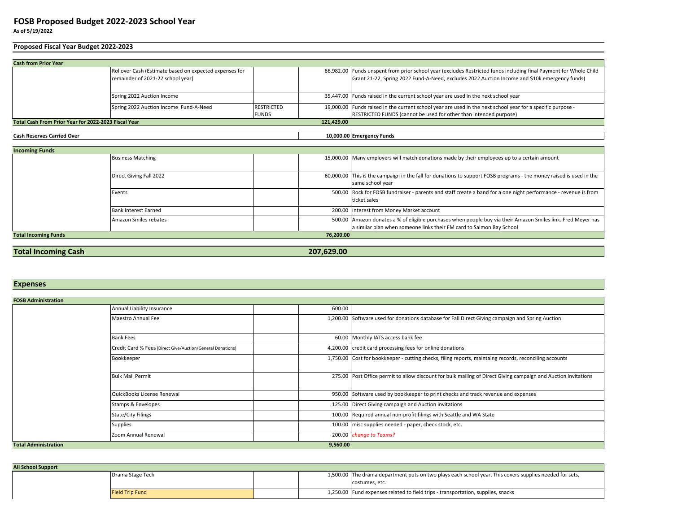## **As of 5/19/2022FOSB Proposed Budget 2022-2023 School Year**

# **Proposed Fiscal Year Budget 2022-2023**

|                                                                    | Rollover Cash (Estimate based on expected expenses for |                   |  | 66,982.00 Funds unspent from prior school year (excludes Restricted funds including final Payment for Whole Child |
|--------------------------------------------------------------------|--------------------------------------------------------|-------------------|--|-------------------------------------------------------------------------------------------------------------------|
|                                                                    | remainder of 2021-22 school year)                      |                   |  | Grant 21-22, Spring 2022 Fund-A-Need, excludes 2022 Auction Income and \$10k emergency funds)                     |
|                                                                    |                                                        |                   |  |                                                                                                                   |
|                                                                    | Spring 2022 Auction Income                             |                   |  | 35,447.00 Funds raised in the current school year are used in the next school year                                |
|                                                                    | Spring 2022 Auction Income Fund-A-Need                 | <b>RESTRICTED</b> |  | 19,000.00 Funds raised in the current school year are used in the next school year for a specific purpose -       |
|                                                                    |                                                        | <b>FUNDS</b>      |  | RESTRICTED FUNDS (cannot be used for other than intended purpose)                                                 |
| Total Cash From Prior Year for 2022-2023 Fiscal Year<br>121.429.00 |                                                        |                   |  |                                                                                                                   |

#### **Cash Reserves Carried Over**

 **10,000.00 Emergency Funds**

| <b>Incoming Funds</b>       |                             |           |                                                                                                                                         |
|-----------------------------|-----------------------------|-----------|-----------------------------------------------------------------------------------------------------------------------------------------|
|                             | <b>Business Matching</b>    |           | 15,000.00 Many employers will match donations made by their employees up to a certain amount                                            |
|                             | Direct Giving Fall 2022     |           | 60,000.00 This is the campaign in the fall for donations to support FOSB programs - the money raised is used in the<br>same school year |
|                             | Events                      |           | 500.00 Rock for FOSB fundraiser - parents and staff create a band for a one night performance - revenue is from<br>ticket sales         |
|                             | <b>Bank Interest Earned</b> |           | 200.00 Interest from Money Market account                                                                                               |
|                             | Amazon Smiles rebates       |           | 500.00   Amazon donates a % of eligible purchases when people buy via their Amazon Smiles link. Fred Mever has                          |
|                             |                             |           | a similar plan when someone links their FM card to Salmon Bay School                                                                    |
| <b>Total Incoming Funds</b> |                             | 76,200.00 |                                                                                                                                         |

# **Total Incoming Cash**

**207,629.00**

### **Expenses**

| <b>FOSB Administration</b>  |                                                            |          |                                                                                                                |
|-----------------------------|------------------------------------------------------------|----------|----------------------------------------------------------------------------------------------------------------|
|                             | Annual Liability Insurance                                 | 600.00   |                                                                                                                |
|                             | Maestro Annual Fee                                         |          | 1,200.00 Software used for donations database for Fall Direct Giving campaign and Spring Auction               |
|                             | <b>Bank Fees</b>                                           |          | 60.00 Monthly IATS access bank fee                                                                             |
|                             | Credit Card % Fees (Direct Give/Auction/General Donations) |          | 4,200.00 credit card processing fees for online donations                                                      |
|                             | Bookkeeper                                                 |          | 1,750.00 Cost for bookkeeper - cutting checks, filing reports, maintaing records, reconciling accounts         |
|                             | <b>Bulk Mail Permit</b>                                    |          | 275.00 Post Office permit to allow discount for bulk mailing of Direct Giving campaign and Auction invitations |
|                             | QuickBooks License Renewal                                 |          | 950.00 Software used by bookkeeper to print checks and track revenue and expenses                              |
|                             | Stamps & Envelopes                                         |          | 125.00 Direct Giving campaign and Auction invitations                                                          |
|                             | State/City Filings                                         |          | 100.00 Required annual non-profit filings with Seattle and WA State                                            |
|                             | Supplies                                                   |          | 100.00 misc supplies needed - paper, check stock, etc.                                                         |
|                             | Zoom Annual Renewal                                        |          | 200.00 change to Teams?                                                                                        |
| <b>Total Administration</b> |                                                            | 9,560.00 |                                                                                                                |

| <b>All School Support</b> |                        |  |                                                                                                         |
|---------------------------|------------------------|--|---------------------------------------------------------------------------------------------------------|
|                           | Drama Stage Tech       |  | 1,500.00 The drama department puts on two plays each school year. This covers supplies needed for sets, |
|                           |                        |  | costumes, etc.                                                                                          |
|                           | <b>Field Trip Fund</b> |  | 1,250.00 Fund expenses related to field trips - transportation, supplies, snacks                        |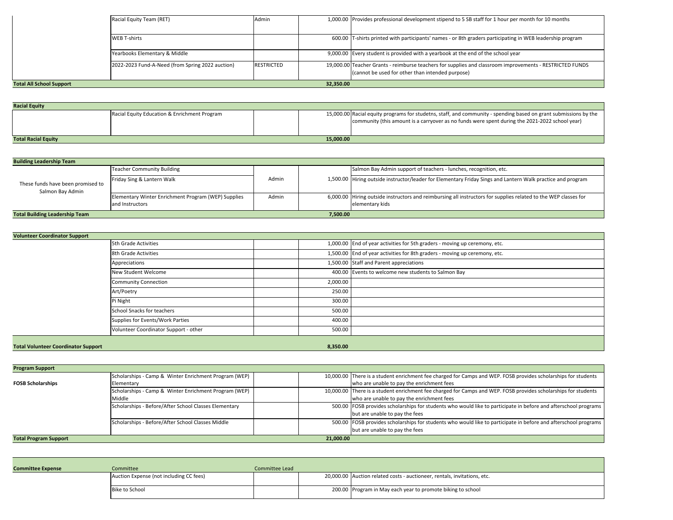|                                 | Racial Equity Team (RET)                         | Admin             |           | 1,000.00 Provides professional development stipend to 5 SB staff for 1 hour per month for 10 months                                                          |
|---------------------------------|--------------------------------------------------|-------------------|-----------|--------------------------------------------------------------------------------------------------------------------------------------------------------------|
|                                 |                                                  |                   |           |                                                                                                                                                              |
|                                 | <b>WEB T-shirts</b>                              |                   |           | 600.00 T-shirts printed with participants' names - or 8th graders participating in WEB leadership program                                                    |
|                                 | Yearbooks Elementary & Middle                    |                   |           | 9,000.00 Every student is provided with a yearbook at the end of the school year                                                                             |
|                                 | 2022-2023 Fund-A-Need (from Spring 2022 auction) | <b>RESTRICTED</b> |           | 19,000.00 Teacher Grants - reimburse teachers for supplies and classroom improvements - RESTRICTED FUNDS<br>(cannot be used for other than intended purpose) |
| <b>Total All School Support</b> |                                                  |                   | 32,350.00 |                                                                                                                                                              |

| <b>Racial Equity</b>                    |                                              |  |  |                                                                                                                                                                                                                    |
|-----------------------------------------|----------------------------------------------|--|--|--------------------------------------------------------------------------------------------------------------------------------------------------------------------------------------------------------------------|
|                                         | Racial Equity Education & Enrichment Program |  |  | 15,000.00 Racial equity programs for studetns, staff, and community - spending based on grant submissions by the<br>community (this amount is a carryover as no funds were spent during the 2021-2022 school year) |
| 15,000,00<br><b>Total Racial Equity</b> |                                              |  |  |                                                                                                                                                                                                                    |

| <b>Building Leadership Team</b>                       |                                                                        |       |          |                                                                                                                                    |
|-------------------------------------------------------|------------------------------------------------------------------------|-------|----------|------------------------------------------------------------------------------------------------------------------------------------|
|                                                       | <b>Teacher Community Building</b>                                      |       |          | Salmon Bay Admin support of teachers - lunches, recognition, etc.                                                                  |
| These funds have been promised to<br>Salmon Bay Admin | Friday Sing & Lantern Walk                                             | Admin |          | 1,500.00 Hiring outside instructor/leader for Elementary Friday Sings and Lantern Walk practice and program                        |
|                                                       | Elementary Winter Enrichment Program (WEP) Supplies<br>and Instructors | Admin |          | 6,000.00 Hiring outside instructors and reimbursing all instructors for supplies related to the WEP classes for<br>elementary kids |
| <b>Total Building Leadership Team</b>                 |                                                                        |       | 7.500.00 |                                                                                                                                    |

| <b>Volunteer Coordinator Support</b>       |                                       |          |                                                                            |
|--------------------------------------------|---------------------------------------|----------|----------------------------------------------------------------------------|
|                                            | 5th Grade Activities                  |          | 1,000.00 End of year activities for 5th graders - moving up ceremony, etc. |
|                                            | 8th Grade Activities                  |          | 1,500.00 End of year activities for 8th graders - moving up ceremony, etc. |
|                                            | Appreciations                         |          | 1,500.00 Staff and Parent appreciations                                    |
|                                            | New Student Welcome                   |          | 400.00 Events to welcome new students to Salmon Bay                        |
|                                            | <b>Community Connection</b>           | 2,000.00 |                                                                            |
|                                            | Art/Poetry                            | 250.00   |                                                                            |
|                                            | Pi Night                              | 300.00   |                                                                            |
|                                            | School Snacks for teachers            | 500.00   |                                                                            |
|                                            | Supplies for Events/Work Parties      | 400.00   |                                                                            |
|                                            | Volunteer Coordinator Support - other | 500.00   |                                                                            |
|                                            |                                       |          |                                                                            |
| <b>Total Volunteer Coordinator Support</b> |                                       | 8,350.00 |                                                                            |

**Program SupportFOSB Scholarships**Scholarships - Camp & Winter Enrichment Program (WEP) Elementary Scholarships - Camp & Winter Enrichment Program (WEP) 10,000.00 There is a student enrichment fee charged for Camps and WEP. FOSB provides scholarships for students who are unable to pay the enrichment fees10,000.00 There is a student enrichment fee charged for Camps and WEP. FOSB provides scholarships for students MiddleScholarships - Before/After School Classes Elementary who are unable to pay the enrichment feesScholarships - Before/After School Classes Elementary **School Classes Elementary** 500.00 FOSB provides scholarships for students who would like to participate in before and afterschool programs but are unable to pay the feesScholarships - Before/After School Classes Middle FOSB provides scholarships for students who would like to participate in before and afterschool programs but are unable to pay the fees**Total Program Support 21,000.00** 

| <b>Committee Expense</b> | Committee                               | Committee Lead |                                                                          |
|--------------------------|-----------------------------------------|----------------|--------------------------------------------------------------------------|
|                          | Auction Expense (not including CC fees) |                | 20,000.00 Auction related costs - auctioneer, rentals, invitations, etc. |
|                          | Bike to School                          |                | 200.00 Program in May each year to promote biking to school              |